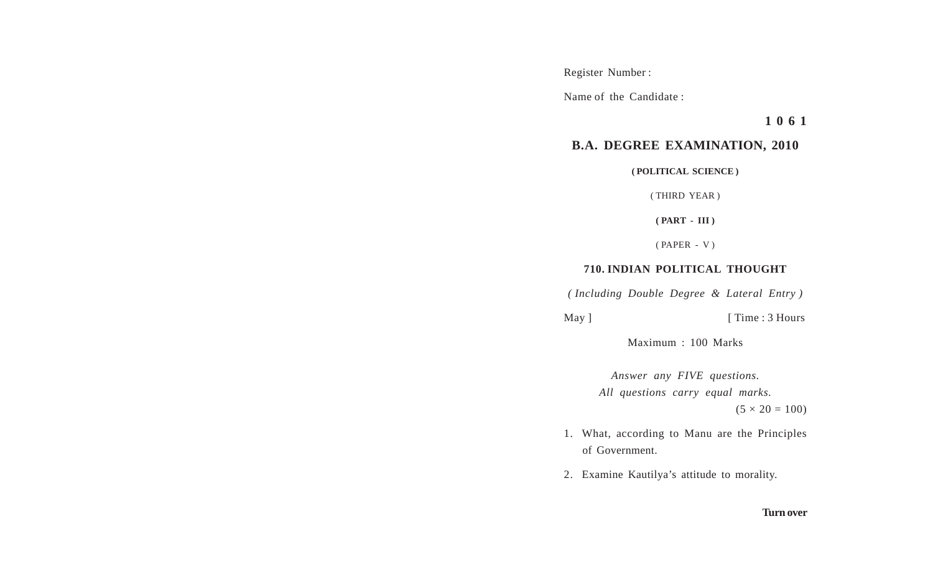Register Number :

Name of the Candidate :

**1 0 6 1**

## **B.A. DEGREE EXAMINATION, 2010**

**( POLITICAL SCIENCE )**

( THIRD YEAR )

**( PART - III )**

( PAPER - V )

## **710. INDIAN POLITICAL THOUGHT**

*( Including Double Degree & Lateral Entry )*

May ] [ Time : 3 Hours

Maximum : 100 Marks

*Answer any FIVE questions. All questions carry equal marks.*  $(5 \times 20 = 100)$ 

- 1. What, according to Manu are the Principles of Government.
- 2. Examine Kautilya's attitude to morality.

## **Turn over**